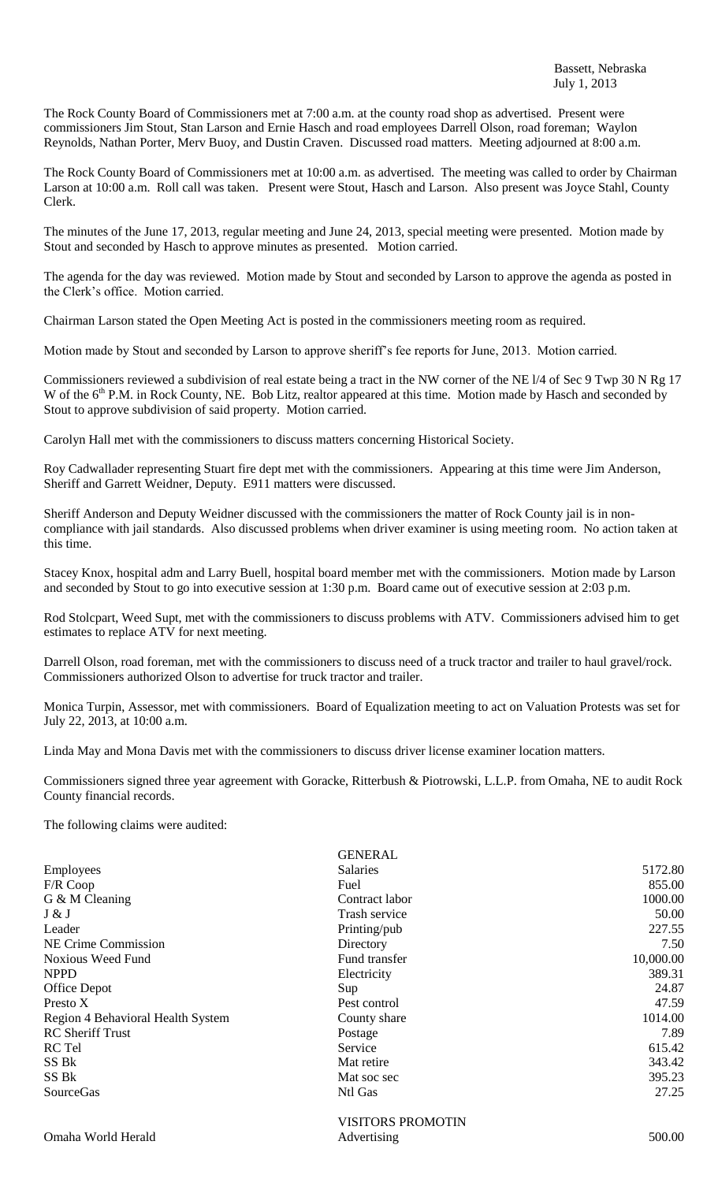The Rock County Board of Commissioners met at 7:00 a.m. at the county road shop as advertised. Present were commissioners Jim Stout, Stan Larson and Ernie Hasch and road employees Darrell Olson, road foreman; Waylon Reynolds, Nathan Porter, Merv Buoy, and Dustin Craven. Discussed road matters. Meeting adjourned at 8:00 a.m.

The Rock County Board of Commissioners met at 10:00 a.m. as advertised. The meeting was called to order by Chairman Larson at 10:00 a.m. Roll call was taken. Present were Stout, Hasch and Larson. Also present was Joyce Stahl, County Clerk.

The minutes of the June 17, 2013, regular meeting and June 24, 2013, special meeting were presented. Motion made by Stout and seconded by Hasch to approve minutes as presented. Motion carried.

The agenda for the day was reviewed. Motion made by Stout and seconded by Larson to approve the agenda as posted in the Clerk's office. Motion carried.

Chairman Larson stated the Open Meeting Act is posted in the commissioners meeting room as required.

Motion made by Stout and seconded by Larson to approve sheriff's fee reports for June, 2013. Motion carried.

Commissioners reviewed a subdivision of real estate being a tract in the NW corner of the NE l/4 of Sec 9 Twp 30 N Rg 17 W of the 6<sup>th</sup> P.M. in Rock County, NE. Bob Litz, realtor appeared at this time. Motion made by Hasch and seconded by Stout to approve subdivision of said property. Motion carried.

Carolyn Hall met with the commissioners to discuss matters concerning Historical Society.

Roy Cadwallader representing Stuart fire dept met with the commissioners. Appearing at this time were Jim Anderson, Sheriff and Garrett Weidner, Deputy. E911 matters were discussed.

Sheriff Anderson and Deputy Weidner discussed with the commissioners the matter of Rock County jail is in noncompliance with jail standards. Also discussed problems when driver examiner is using meeting room. No action taken at this time.

Stacey Knox, hospital adm and Larry Buell, hospital board member met with the commissioners. Motion made by Larson and seconded by Stout to go into executive session at 1:30 p.m. Board came out of executive session at 2:03 p.m.

Rod Stolcpart, Weed Supt, met with the commissioners to discuss problems with ATV. Commissioners advised him to get estimates to replace ATV for next meeting.

Darrell Olson, road foreman, met with the commissioners to discuss need of a truck tractor and trailer to haul gravel/rock. Commissioners authorized Olson to advertise for truck tractor and trailer.

Monica Turpin, Assessor, met with commissioners. Board of Equalization meeting to act on Valuation Protests was set for July 22, 2013, at 10:00 a.m.

Linda May and Mona Davis met with the commissioners to discuss driver license examiner location matters.

Commissioners signed three year agreement with Goracke, Ritterbush & Piotrowski, L.L.P. from Omaha, NE to audit Rock County financial records.

The following claims were audited:

|                                   | <b>GENERAL</b>           |           |
|-----------------------------------|--------------------------|-----------|
| Employees                         | <b>Salaries</b>          | 5172.80   |
| $F/R$ Coop                        | Fuel                     | 855.00    |
| G & M Cleaning                    | Contract labor           | 1000.00   |
| J & J                             | Trash service            | 50.00     |
| Leader                            | Printing/pub             | 227.55    |
| NE Crime Commission               | Directory                | 7.50      |
| Noxious Weed Fund                 | Fund transfer            | 10,000.00 |
| <b>NPPD</b>                       | Electricity              | 389.31    |
| Office Depot                      | Sup                      | 24.87     |
| Presto X                          | Pest control             | 47.59     |
| Region 4 Behavioral Health System | County share             | 1014.00   |
| <b>RC</b> Sheriff Trust           | Postage                  | 7.89      |
| RC Tel                            | Service                  | 615.42    |
| SS Bk                             | Mat retire               | 343.42    |
| SS Bk                             | Mat soc sec              | 395.23    |
| SourceGas                         | Ntl Gas                  | 27.25     |
|                                   | <b>VISITORS PROMOTIN</b> |           |
| Omaha World Herald                | Advertising              | 500.00    |